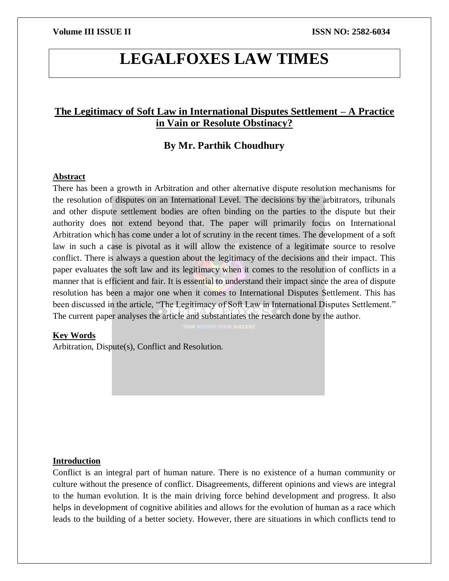# **LEGALFOXES LAW TIMES**

# **The Legitimacy of Soft Law in International Disputes Settlement – A Practice in Vain or Resolute Obstinacy?**

## **By Mr. Parthik Choudhury**

### **Abstract**

There has been a growth in Arbitration and other alternative dispute resolution mechanisms for the resolution of disputes on an International Level. The decisions by the arbitrators, tribunals and other dispute settlement bodies are often binding on the parties to the dispute but their authority does not extend beyond that. The paper will primarily focus on International Arbitration which has come under a lot of scrutiny in the recent times. The development of a soft law in such a case is pivotal as it will allow the existence of a legitimate source to resolve conflict. There is always a question about the legitimacy of the decisions and their impact. This paper evaluates the soft law and its legitimacy when it comes to the resolution of conflicts in a manner that is efficient and fair. It is essential to understand their impact since the area of dispute resolution has been a major one when it comes to International Disputes Settlement. This has been discussed in the article, "The Legitimacy of Soft Law in International Disputes Settlement." The current paper analyses the article and substantiates the research done by the author.

#### **Key Words**

Arbitration, Dispute(s), Conflict and Resolution.

#### **Introduction**

Conflict is an integral part of human nature. There is no existence of a human community or culture without the presence of conflict. Disagreements, different opinions and views are integral to the human evolution. It is the main driving force behind development and progress. It also helps in development of cognitive abilities and allows for the evolution of human as a race which leads to the building of a better society. However, there are situations in which conflicts tend to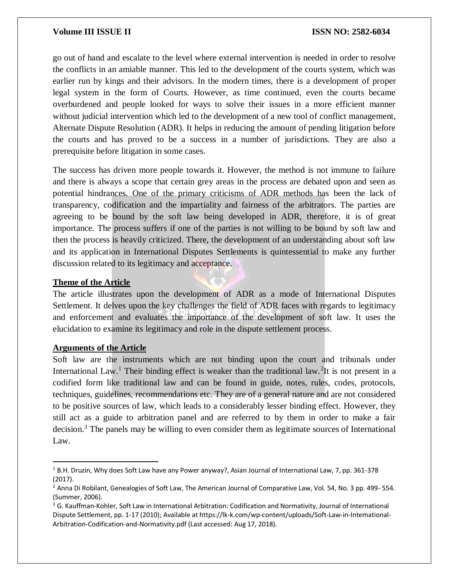### **Volume III ISSUE II III ISSN NO:** 2582-6034

go out of hand and escalate to the level where external intervention is needed in order to resolve the conflicts in an amiable manner. This led to the development of the courts system, which was earlier run by kings and their advisors. In the modern times, there is a development of proper legal system in the form of Courts. However, as time continued, even the courts became overburdened and people looked for ways to solve their issues in a more efficient manner without judicial intervention which led to the development of a new tool of conflict management, Alternate Dispute Resolution (ADR). It helps in reducing the amount of pending litigation before the courts and has proved to be a success in a number of jurisdictions. They are also a prerequisite before litigation in some cases.

The success has driven more people towards it. However, the method is not immune to failure and there is always a scope that certain grey areas in the process are debated upon and seen as potential hindrances. One of the primary criticisms of ADR methods has been the lack of transparency, codification and the impartiality and fairness of the arbitrators. The parties are agreeing to be bound by the soft law being developed in ADR, therefore, it is of great importance. The process suffers if one of the parties is not willing to be bound by soft law and then the process is heavily criticized. There, the development of an understanding about soft law and its application in International Disputes Settlements is quintessential to make any further discussion related to its legitimacy and acceptance.

#### **Theme of the Article**

The article illustrates upon the development of ADR as a mode of International Disputes Settlement. It delves upon the key challenges the field of ADR faces with regards to legitimacy and enforcement and evaluates the importance of the development of soft law. It uses the elucidation to examine its legitimacy and role in the dispute settlement process.

### **Arguments of the Article**

 $\overline{a}$ 

Soft law are the instruments which are not binding upon the court and tribunals under International Law.<sup>1</sup> Their binding effect is weaker than the traditional law.<sup>2</sup>It is not present in a codified form like traditional law and can be found in guide, notes, rules, codes, protocols, techniques, guidelines, recommendations etc. They are of a general nature and are not considered to be positive sources of law, which leads to a considerably lesser binding effect. However, they still act as a guide to arbitration panel and are referred to by them in order to make a fair decision.<sup>3</sup> The panels may be willing to even consider them as legitimate sources of International Law.

<sup>1</sup> B.H. Druzin, Why does Soft Law have any Power anyway?, Asian Journal of International Law, 7, pp. 361-378 (2017).

<sup>&</sup>lt;sup>2</sup> Anna Di Robilant, Genealogies of Soft Law, The American Journal of Comparative Law, Vol. 54, No. 3 pp. 499- 554. (Summer, 2006).

<sup>&</sup>lt;sup>3</sup> G. Kauffman-Kohler, Soft Law in International Arbitration: Codification and Normativity, Journal of International Dispute Settlement, pp. 1-17 (2010); Available at https://lk-k.com/wp-content/uploads/Soft-Law-in-Intemational-Arbitration-Codification-and-Normativity.pdf (Last accessed: Aug 17, 2018).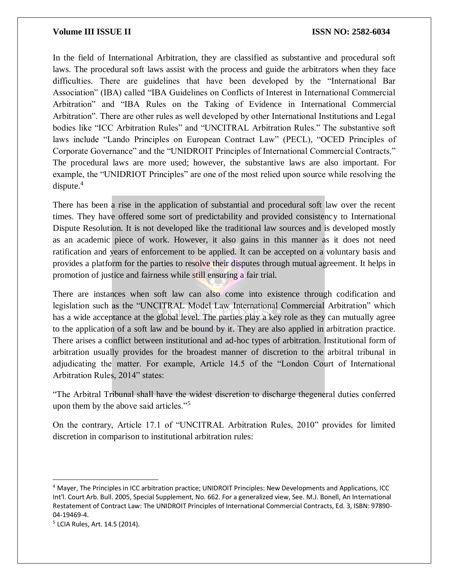#### **Volume III ISSUE II ISSN NO: 2582-6034**

In the field of International Arbitration, they are classified as substantive and procedural soft laws. The procedural soft laws assist with the process and guide the arbitrators when they face difficulties. There are guidelines that have been developed by the "International Bar Association" (IBA) called "IBA Guidelines on Conflicts of Interest in International Commercial Arbitration" and "IBA Rules on the Taking of Evidence in International Commercial Arbitration". There are other rules as well developed by other International Institutions and Legal bodies like "ICC Arbitration Rules" and "UNCITRAL Arbitration Rules." The substantive soft laws include "Lando Principles on European Contract Law" (PECL), "OCED Principles of Corporate Governance" and the "UNIDROIT Principles of International Commercial Contracts." The procedural laws are more used; however, the substantive laws are also important. For example, the "UNIDRIOT Principles" are one of the most relied upon source while resolving the dispute. $4$ 

There has been a rise in the application of substantial and procedural soft law over the recent times. They have offered some sort of predictability and provided consistency to International Dispute Resolution. It is not developed like the traditional law sources and is developed mostly as an academic piece of work. However, it also gains in this manner as it does not need ratification and years of enforcement to be applied. It can be accepted on a voluntary basis and provides a platform for the parties to resolve their disputes through mutual agreement. It helps in promotion of justice and fairness while still ensuring a fair trial.

There are instances when soft law can also come into existence through codification and legislation such as the "UNCITRAL Model Law International Commercial Arbitration" which has a wide acceptance at the global level. The parties play a key role as they can mutually agree to the application of a soft law and be bound by it. They are also applied in arbitration practice. There arises a conflict between institutional and ad-hoc types of arbitration. Institutional form of arbitration usually provides for the broadest manner of discretion to the arbitral tribunal in adjudicating the matter. For example, Article 14.5 of the "London Court of International Arbitration Rules, 2014" states:

"The Arbitral Tribunal shall have the widest discretion to discharge thegeneral duties conferred upon them by the above said articles."<sup>5</sup>

On the contrary, Article 17.1 of "UNCITRAL Arbitration Rules, 2010" provides for limited discretion in comparison to institutional arbitration rules:

 $\overline{\phantom{a}}$ 

<sup>4</sup> Mayer, The Principles in ICC arbitration practice; UNIDROIT Principles: New Developments and Applications, ICC Int'l. Court Arb. Bull. 2005, Special Supplement, No. 662. For a generalized view, See. M.J. Bonell, An International Restatement of Contract Law: The UNIDROIT Principles of International Commercial Contracts, Ed. 3, ISBN: 97890- 04-19469-4.

<sup>5</sup> LCIA Rules, Art. 14.5 (2014).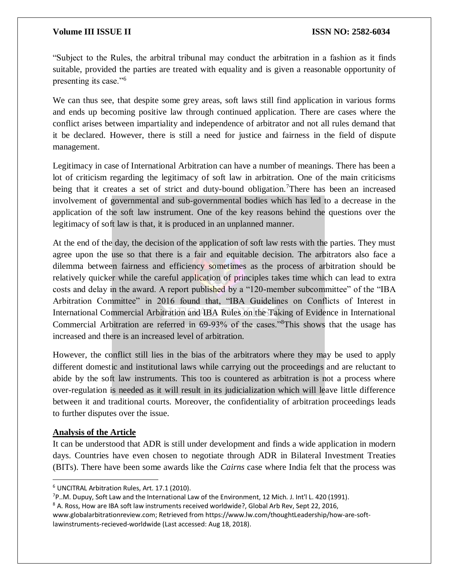### **Volume III ISSUE II ISSN NO: 2582-6034**

"Subject to the Rules, the arbitral tribunal may conduct the arbitration in a fashion as it finds suitable, provided the parties are treated with equality and is given a reasonable opportunity of presenting its case."<sup>6</sup>

We can thus see, that despite some grey areas, soft laws still find application in various forms and ends up becoming positive law through continued application. There are cases where the conflict arises between impartiality and independence of arbitrator and not all rules demand that it be declared. However, there is still a need for justice and fairness in the field of dispute management.

Legitimacy in case of International Arbitration can have a number of meanings. There has been a lot of criticism regarding the legitimacy of soft law in arbitration. One of the main criticisms being that it creates a set of strict and duty-bound obligation.<sup>7</sup>There has been an increased involvement of governmental and sub-governmental bodies which has led to a decrease in the application of the soft law instrument. One of the key reasons behind the questions over the legitimacy of soft law is that, it is produced in an unplanned manner.

At the end of the day, the decision of the application of soft law rests with the parties. They must agree upon the use so that there is a fair and equitable decision. The arbitrators also face a dilemma between fairness and efficiency sometimes as the process of arbitration should be relatively quicker while the careful application of principles takes time which can lead to extra costs and delay in the award. A report published by a "120-member subcommittee" of the "IBA Arbitration Committee" in 2016 found that, "IBA Guidelines on Conflicts of Interest in International Commercial Arbitration and IBA Rules on the Taking of Evidence in International Commercial Arbitration are referred in 69-93% of the cases."<sup>8</sup>This shows that the usage has increased and there is an increased level of arbitration.

However, the conflict still lies in the bias of the arbitrators where they may be used to apply different domestic and institutional laws while carrying out the proceedings and are reluctant to abide by the soft law instruments. This too is countered as arbitration is not a process where over-regulation is needed as it will result in its judicialization which will leave little difference between it and traditional courts. Moreover, the confidentiality of arbitration proceedings leads to further disputes over the issue.

#### **Analysis of the Article**

 $\overline{\phantom{a}}$ 

It can be understood that ADR is still under development and finds a wide application in modern days. Countries have even chosen to negotiate through ADR in Bilateral Investment Treaties (BITs). There have been some awards like the *Cairns* case where India felt that the process was

<sup>6</sup> UNCITRAL Arbitration Rules, Art. 17.1 (2010).

 $7P$ ..M. Dupuy, Soft Law and the International Law of the Environment, 12 Mich. J. Int'l L. 420 (1991).

<sup>&</sup>lt;sup>8</sup> A. Ross, How are IBA soft law instruments received worldwide?, Global Arb Rev, Sept 22, 2016,

www.globalarbitrationreview.com; Retrieved from https://www.lw.com/thoughtLeadership/how-are-softlawinstruments-recieved-worldwide (Last accessed: Aug 18, 2018).